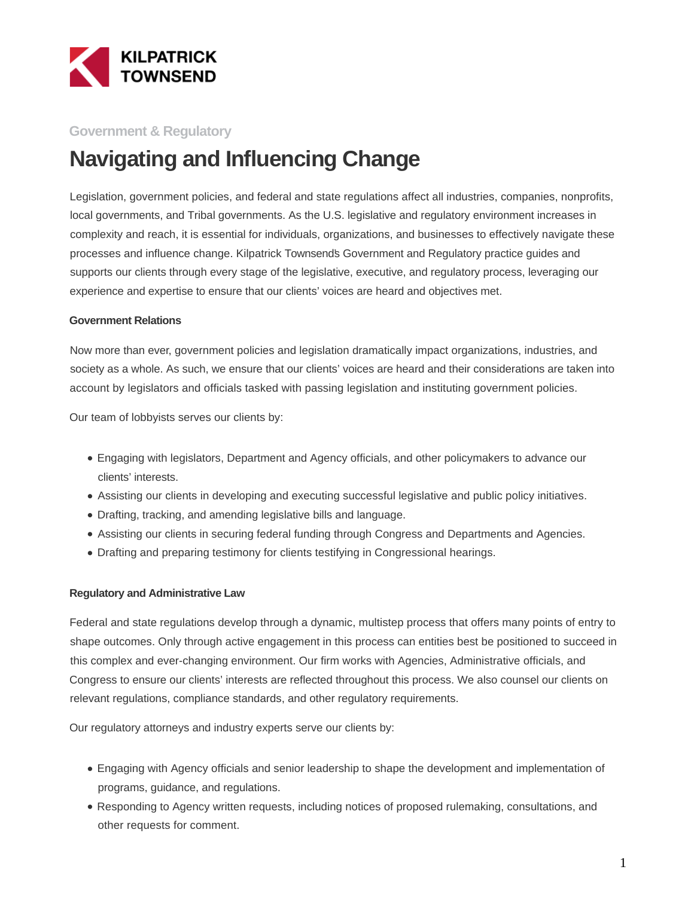

## **Government & Regulatory**

# **Navigating and Influencing Change**

Legislation, government policies, and federal and state regulations affect all industries, companies, nonprofits, local governments, and Tribal governments. As the U.S. legislative and regulatory environment increases in complexity and reach, it is essential for individuals, organizations, and businesses to effectively navigate these processes and influence change. Kilpatrick Townsend's Government and Regulatory practice guides and supports our clients through every stage of the legislative, executive, and regulatory process, leveraging our experience and expertise to ensure that our clients' voices are heard and objectives met.

#### **Government Relations**

Now more than ever, government policies and legislation dramatically impact organizations, industries, and society as a whole. As such, we ensure that our clients' voices are heard and their considerations are taken into account by legislators and officials tasked with passing legislation and instituting government policies.

Our team of lobbyists serves our clients by:

- Engaging with legislators, Department and Agency officials, and other policymakers to advance our clients' interests.
- Assisting our clients in developing and executing successful legislative and public policy initiatives.
- Drafting, tracking, and amending legislative bills and language.
- Assisting our clients in securing federal funding through Congress and Departments and Agencies.
- Drafting and preparing testimony for clients testifying in Congressional hearings.

#### **Regulatory and Administrative Law**

Federal and state regulations develop through a dynamic, multistep process that offers many points of entry to shape outcomes. Only through active engagement in this process can entities best be positioned to succeed in this complex and ever-changing environment. Our firm works with Agencies, Administrative officials, and Congress to ensure our clients' interests are reflected throughout this process. We also counsel our clients on relevant regulations, compliance standards, and other regulatory requirements.

Our regulatory attorneys and industry experts serve our clients by:

- Engaging with Agency officials and senior leadership to shape the development and implementation of programs, guidance, and regulations.
- Responding to Agency written requests, including notices of proposed rulemaking, consultations, and other requests for comment.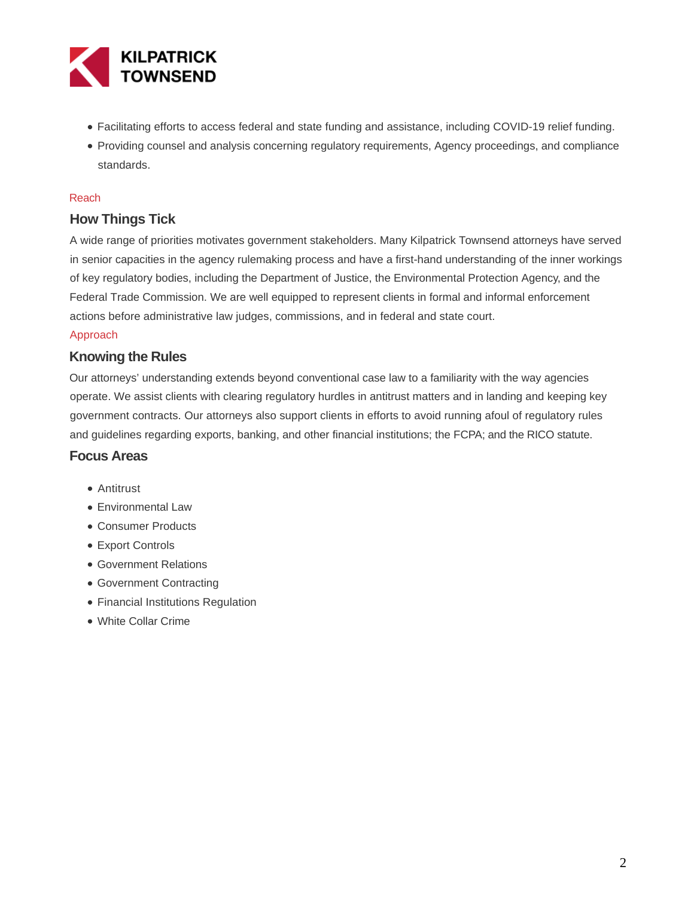

- Facilitating efforts to access federal and state funding and assistance, including COVID-19 relief funding.
- Providing counsel and analysis concerning regulatory requirements, Agency proceedings, and compliance standards.

#### Reach

## **How Things Tick**

A wide range of priorities motivates government stakeholders. Many Kilpatrick Townsend attorneys have served in senior capacities in the agency rulemaking process and have a first-hand understanding of the inner workings of key regulatory bodies, including the Department of Justice, the Environmental Protection Agency, and the Federal Trade Commission. We are well equipped to represent clients in formal and informal enforcement actions before administrative law judges, commissions, and in federal and state court.

#### Approach

### **Knowing the Rules**

Our attorneys' understanding extends beyond conventional case law to a familiarity with the way agencies operate. We assist clients with clearing regulatory hurdles in antitrust matters and in landing and keeping key government contracts. Our attorneys also support clients in efforts to avoid running afoul of regulatory rules and guidelines regarding exports, banking, and other financial institutions; the FCPA; and the RICO statute.

### **Focus Areas**

- Antitrust
- Environmental Law
- Consumer Products
- Export Controls
- Government Relations
- Government Contracting
- Financial Institutions Regulation
- White Collar Crime